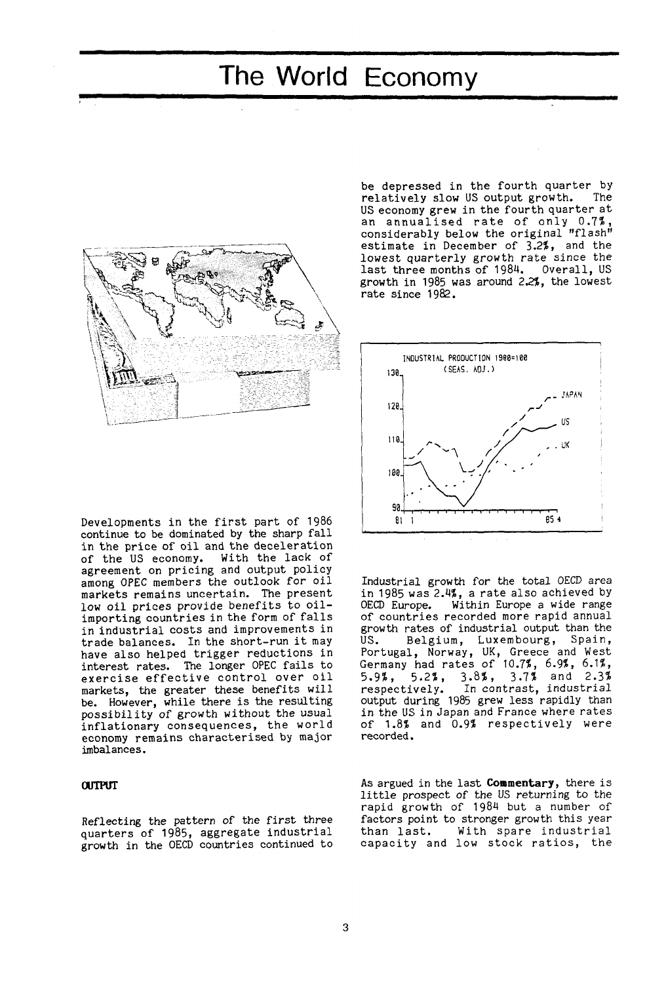# The World Economy



be depressed in the fourth quarter by<br>relatively slow US output growth. The relatively slow US output growth. US economy grew in the fourth quarter at an annualised rate of only  $0.7\%$ , considerably below the original "flash" estimate in December of 3.2\$, and the lowest quarterly growth rate since the last three months of 1984. Overall, US growth in 1985 was around 2.2\$, the lowest rate since 1982.



Industrial growth for the total OECD area in 1985 was 2.4?, a rate also achieved by OECD Europe. Within Europe a wide range of countries recorded more rapid annual growth rates of industrial output than the US. Belgium, Luxembourg, Spain, Portugal, Norway, UK, Greece and West Germany had rates of 10.7\$, 6.9\$, 6.1\$, 5.9\$, 5.2\$, 3.8\$, 3.7\$ and 2.3\$ respectively. In contrast, industrial output during 1985 grew less rapidly than in the US in Japan and France where rates of 1.8\$ and 0.9\$ respectively were recorded.

As argued in the last **Commentary,** there is little prospect of the US returning to the rapid growth of 1984 but a number of factors point to stronger growth this year<br>than last. With spare industrial With spare industrial capacity and low stock ratios, the

Developments in the first part of 1986 continue to be dominated by the sharp fall in the price of oil and the deceleration of the US economy. With the lack of agreement on pricing and output policy among OPEC members the outlook for oil markets remains uncertain. The present low oil prices provide benefits to oilimporting countries in the form of falls in industrial costs and improvements in trade balances. In the short-run it may have also helped trigger reductions in interest rates. The longer OPEC fails to exercise effective control over oil markets, the greater these benefits will be. However, while there is the resulting possibility of growth without the usual inflationary consequences, the world economy remains characterised by major imbalances.

## **OUTPUT**

Reflecting the pattern of the first three quarters of 1985, aggregate industrial growth in the OECD countries continued to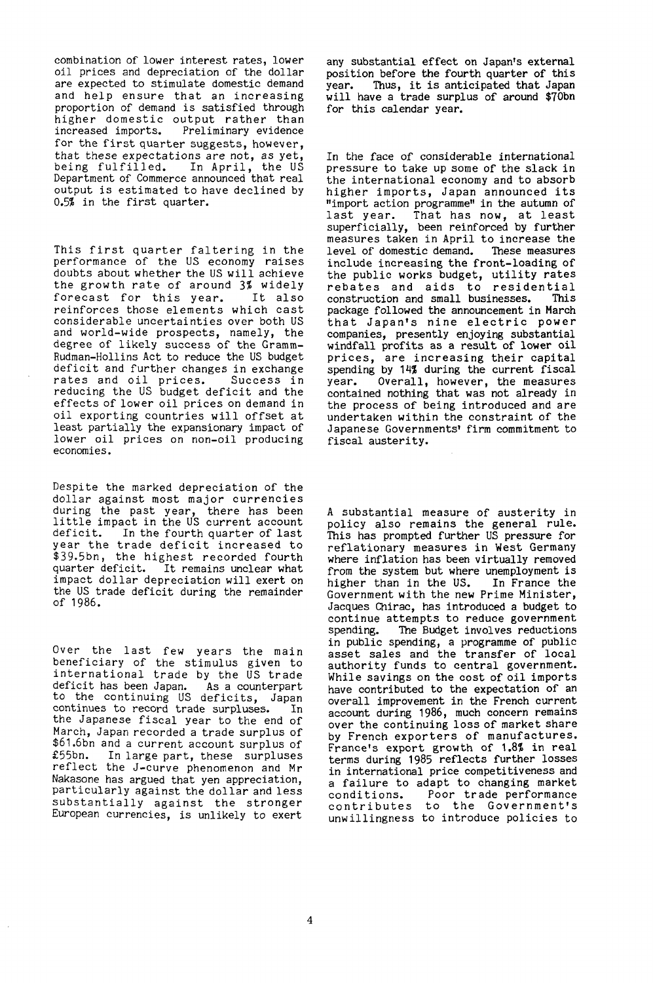combination of lower interest rates, lower oil prices and depreciation of the dollar are expected to stimulate domestic demand and help ensure that an increasing proportion of demand is satisfied through higher domestic output rather than<br>increased imports. Preliminary evidence Preliminary evidence for the first quarter suggests, however, that these expectations are not, as yet,<br>being fulfilled. In April, the US In April, the US Department of Commerce announced that real output is estimated to have declined by 0.5? in the first quarter.

This first quarter faltering in the performance of the US economy raises doubts about whether the US will achieve the growth rate of around 3% widely forecast for this year. It also reinforces those elements which cast considerable uncertainties over both US and world-wide prospects, namely, the degree of likely success of the Gramm-Rudman-Hollins Act to reduce the US budget deficit and further changes in exchange rates and oil prices. Success in reducing the US budget deficit and the effects of lower oil prices on demand in oil exporting countries will offset at least partially the expansionary impact of lower oil prices on non-oil producing economies.

Despite the marked depreciation of the dollar against most major currencies during the past year, there has been little impact in the US current account deficit. In the fourth quarter of last year the trade deficit increased to \$39.5bn, the highest recorded fourth quarter deficit. It remains unclear what impact dollar depreciation will exert on the US trade deficit during the remainder of 1986.

Over the last few years the main beneficiary of the stimulus given to international trade by the US trade deficit has been Japan. As a counterpart to the continuing US deficits, Japan continues to record trade surpluses. In the Japanese fiscal year to the end of March, Japan recorded a trade surplus of \$61.6bn and a current account surplus of<br>£55bn. In large part. these surpluses In large part, these surpluses reflect the J-curve phenomenon and Mr Nakasone has argued that yen appreciation, particularly against the dollar and less substantially against the stronger European currencies, is unlikely to exert

any substantial effect on Japan's external position before the fourth quarter of this<br>year. Thus, it is anticipated that Japan Thus, it is anticipated that Japan will have a trade surplus of around \$70bn for this calendar year.

In the face of considerable international pressure to take up some of the slack in the international economy and to absorb higher imports, Japan announced its "import action programme" in the autumn of last year. That has now, at least superficially, been reinforced by further measures taken in April to increase the<br>level of domestic demand. These measures level of domestic demand. include increasing the front-loading of the public works budget, utility rates rebates and aids to residential<br>construction and small businesses. This construction and small businesses. package followed the announcement in March that Japan's nine electric power companies, presently enjoying substantial windfall profits as a result of lower oil prices, are increasing their capital spending by 14% during the current fiscal year. Overall, however, the measures contained nothing that was not already in the process of being introduced and are undertaken within the constraint of the Japanese Governments' firm commitment to fiscal austerity.

A substantial measure of austerity in policy also remains the general rule. This has prompted further US pressure for reflationary measures in West Germany where inflation has been virtually removed from the system but where unemployment is higher than in the US. In France the Government with the new Prime Minister, Jacques Chirac, has introduced a budget to continue attempts to reduce government spending. The Budget involves reductions in public spending, a programme of public asset sales and the transfer of local authority funds to central government. While savings on the cost of oil imports have contributed to the expectation of an overall improvement in the French current account during 1986, much concern remains over the continuing loss of market share by French exporters of manufactures. by rrench exporters of manufactures.<br>Francels export grouth of 1.8% in real rrance's export growth of 1.0% in real<br>torms during 1985 reflects further losses in international price competitiveness and in international price competitiveness and a failure to adapt to changing market<br>conditions. Poor trade performance contributes to the Government's unwillingness to introduce policies to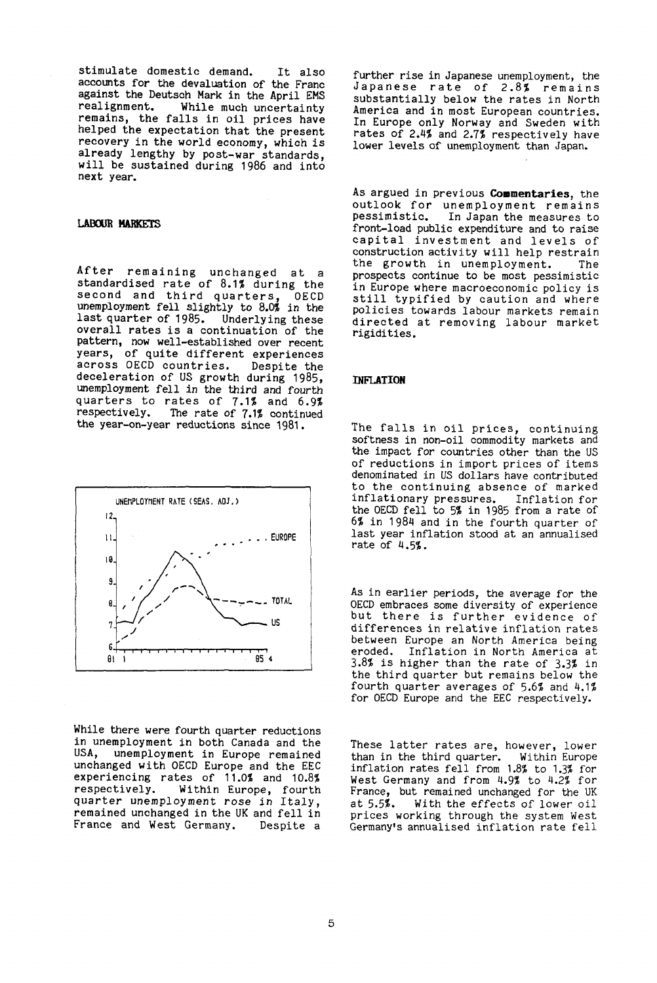stimulate domestic demand. It also accounts for the devaluation of the Franc against the Deutsch Mark in the April EMS While much uncertainty remains, the falls in oil prices have helped the expectation that the present recovery in the world economy, which is already lengthy by post-war standards, will be sustained during 1986 and into next year.

### **LABOUR MARKETS**

After remaining unchanged at a standardised rate of 8.1% during the second and third quarters, OECD unemployment fell slightly to 8.0% in the last quarter of 1985. Underlying these overall rates is a continuation of the pattern, now well-established over recent years, of quite different experiences across OECD countries. Despite the deceleration of US growth during 1985, unemployment fell in the third and fourth quarters to rates of 7.1% and 6.9% respectively. The rate of 7.1% continued the year-on-year reductions since 1981.



While there were fourth quarter reductions in unemployment in both Canada and the unemployment in Europe remained unchanged with OECD Europe and the EEC experiencing rates of 11.0% and 10.8% respectively. Within Europe, fourth quarter unemployment rose in Italy, remained unchanged in the UK and fell in France and West Germany. Despite a

further rise in Japanese unemployment, the Japanese rate of 2.8% remains substantially below the rates in North America and in most European countries. In Europe only Norway and Sweden with rates of 2.4% and 2.7% respectively have lower levels of unemployment than Japan.

As argued in previous **Commentaries,** the outlook for unemployment remains<br>pessimistic. In Japan the measures to In Japan the measures to front-load public expenditure and to raise capital investment and levels of construction activity will help restrain the growth in unemployment. The prospects continue to be most pessimistic in Europe where macroeconomic policy is still typified by caution and where policies towards labour markets remain directed at removing labour market rigidities.

#### **INFLATION**

The falls in oil prices, continuing softness in non-oil commodity markets and the impact for countries other than the US of reductions in import prices of items denominated in US dollars have contributed to the continuing absence of marked inflationary pressures. Inflation for the OECD fell to 5% in 1985 from a rate of 6% in 1984 and in the fourth quarter of last year inflation stood at an annualised rate of 4.5%.

As in earlier periods, the average for the OECD embraces some diversity of experience but there is further evidence of differences in relative inflation rates between Europe an North America being<br>eroded. Inflation in North America at Inflation in North America at 3.8% is higher than the rate of 3.3% in the third quarter but remains below the fourth quarter averages of 5.6% and 4.1% for OECD Europe and the EEC respectively.

These latter rates are, however, lower than in the third quarter. Within Europe inflation rates fell from 1.8% to 1.3% for West Germany and from 4.9% to 4.2% for France, but remained unchanged for the UK<br>at 5.5%. With the effects of lower oil With the effects of lower oil prices working through the system West Germany's annualised inflation rate fell